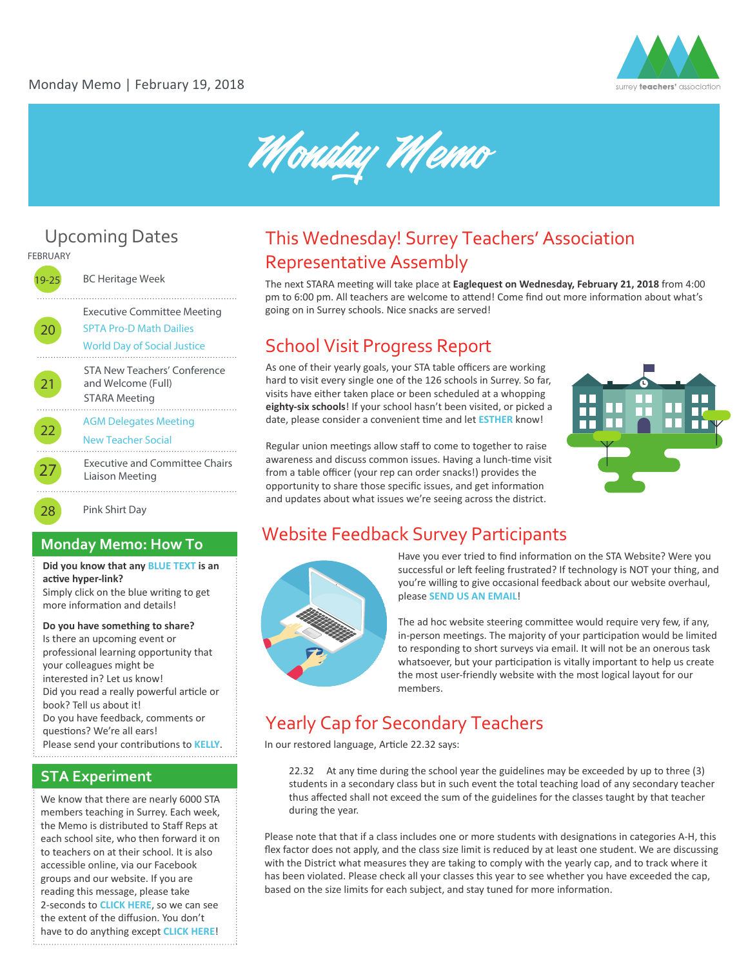



# Upcoming Dates



20

. . . . . . . . . .

22

27

19-25 BC Heritage Week

Executive Committee Meeting

[SPTA Pro-D Math Dailies](http://spta36.weebly.com/math-dailies.html)  [World Day of Social Justice](http://www.un.org/en/events/socialjusticeday/)

STA New Teachers' Conference and Welcome (Full) STARA Meeting 21

[AGM Delegates Meeting](https://agm-delegates-feb22-2018.eventbrite.ca) 

### [New Teacher Social](https://goo.gl/forms/vaGEP1MDycS8nqw02)

Executive and Committee Chairs Liaison Meeting

28 Pink Shirt Day

### **Monday Memo: How To**

**Did you know that any [BLUE TEXT](www.surreyteachers.org) is an**  active hyper-link?

Simply click on the blue writing to get more information and details!

### **Do you have something to share?**

Is there an upcoming event or professional learning opportunity that your colleagues might be interested in? Let us know! Did you read a really powerful article or book? Tell us about it! Do you have feedback, comments or questions? We're all ears! Please send your contributions to **[KELLY](mailto: hello@surreyteachers.org)**. 

### **STA Experiment**

We know that there are nearly 6000 STA members teaching in Surrey. Each week, the Memo is distributed to Staff Reps at each school site, who then forward it on to teachers on at their school. It is also accessible online, via our Facebook groups and our website. If you are reading this message, please take 2-seconds to **[CLICK HERE](http://bit.ly/2F3XgM4)**, so we can see the extent of the diffusion. You don't have to do anything except **[CLICK HERE](http://bit.ly/2F3XgM4)**!

## This Wednesday! Surrey Teachers' Association Representative Assembly

The next STARA meeting will take place at **Eaglequest on Wednesday, February 21, 2018** from 4:00 pm to 6:00 pm. All teachers are welcome to attend! Come find out more information about what's going on in Surrey schools. Nice snacks are served!

## School Visit Progress Report

As one of their yearly goals, your STA table officers are working hard to visit every single one of the 126 schools in Surrey. So far, visits have either taken place or been scheduled at a whopping **eighty-six schools**! If your school hasn't been visited, or picked a date, please consider a convenient time and let **[ESTHER](mailto: esther@surreyteachers.org)** know!

Regular union meetings allow staff to come to together to raise awareness and discuss common issues. Having a lunch-time visit from a table officer (your rep can order snacks!) provides the opportunity to share those specific issues, and get information and updates about what issues we're seeing across the district.



## Website Feedback Survey Participants



Have you ever tried to find information on the STA Website? Were you successful or left feeling frustrated? If technology is NOT your thing, and you're willing to give occasional feedback about our website overhaul, please **[SEND US AN EMAIL](mailto: sta@surreyteachers.org)**!

The ad hoc website steering committee would require very few, if any, in-person meetings. The majority of your participation would be limited to responding to short surveys via email. It will not be an onerous task whatsoever, but your participation is vitally important to help us create the most user-friendly website with the most logical layout for our members.

## Yearly Cap for Secondary Teachers

In our restored language, Article 22.32 says:

22.32 At any time during the school year the guidelines may be exceeded by up to three (3) students in a secondary class but in such event the total teaching load of any secondary teacher thus affected shall not exceed the sum of the guidelines for the classes taught by that teacher during the year.

Please note that that if a class includes one or more students with designations in categories A-H, this flex factor does not apply, and the class size limit is reduced by at least one student. We are discussing with the District what measures they are taking to comply with the yearly cap, and to track where it has been violated. Please check all your classes this year to see whether you have exceeded the cap, based on the size limits for each subject, and stay tuned for more information.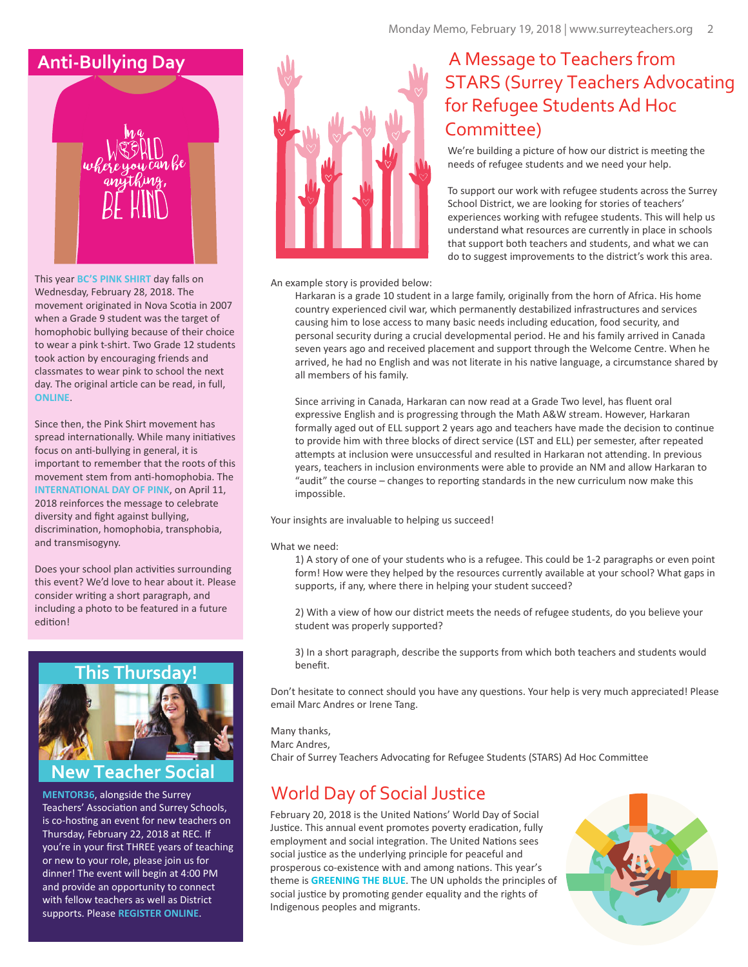

This year **[BC'S PINK SHIRT](https://www.pinkshirtday.ca/)** day falls on Wednesday, February 28, 2018. The movement originated in Nova Sco�a in 2007 when a Grade 9 student was the target of homophobic bullying because of their choice to wear a pink t-shirt. Two Grade 12 students took action by encouraging friends and classmates to wear pink to school the next day. The original article can be read, in full, **[ONLINE](http://www.cbc.ca/news/canada/bullied-student-tickled-pink-by-schoolmates-t-shirt-campaign-1.682221)**.

Since then, the Pink Shirt movement has spread internationally. While many initiatives focus on anti-bullying in general, it is important to remember that the roots of this movement stem from anti-homophobia. The **[INTERNATIONAL DAY OF PINK](https://dayofpink.org/)**, on April 11, 2018 reinforces the message to celebrate diversity and fight against bullying, discrimination, homophobia, transphobia, and transmisogyny.

Does your school plan activities surrounding this event? We'd love to hear about it. Please consider writing a short paragraph, and including a photo to be featured in a future edition!



## **New Teacher Social**

**[MENTOR36](https://mentor36.com/)**, alongside the Surrey Teachers' Association and Surrey Schools, is co-hosting an event for new teachers on Thursday, February 22, 2018 at REC. If you're in your first THREE years of teaching or new to your role, please join us for dinner! The event will begin at 4:00 PM and provide an opportunity to connect with fellow teachers as well as District supports. Please **[REGISTER ONLINE](https://goo.gl/forms/vaGEP1MDycS8nqw02)**.



## **Anti-Bullying Day** A Message to Teachers from STARS (Surrey Teachers Advocating for Refugee Students Ad Hoc Committee)

We're building a picture of how our district is meeting the needs of refugee students and we need your help.

To support our work with refugee students across the Surrey School District, we are looking for stories of teachers' experiences working with refugee students. This will help us understand what resources are currently in place in schools that support both teachers and students, and what we can do to suggest improvements to the district's work this area.

### An example story is provided below:

Harkaran is a grade 10 student in a large family, originally from the horn of Africa. His home country experienced civil war, which permanently destabilized infrastructures and services causing him to lose access to many basic needs including education, food security, and personal security during a crucial developmental period. He and his family arrived in Canada seven years ago and received placement and support through the Welcome Centre. When he arrived, he had no English and was not literate in his native language, a circumstance shared by all members of his family.

Since arriving in Canada, Harkaran can now read at a Grade Two level, has fluent oral expressive English and is progressing through the Math A&W stream. However, Harkaran formally aged out of ELL support 2 years ago and teachers have made the decision to continue to provide him with three blocks of direct service (LST and ELL) per semester, after repeated attempts at inclusion were unsuccessful and resulted in Harkaran not attending. In previous years, teachers in inclusion environments were able to provide an NM and allow Harkaran to "audit" the course – changes to reporting standards in the new curriculum now make this impossible.

Your insights are invaluable to helping us succeed!

#### What we need:

1) A story of one of your students who is a refugee. This could be 1-2 paragraphs or even point form! How were they helped by the resources currently available at your school? What gaps in supports, if any, where there in helping your student succeed?

2) With a view of how our district meets the needs of refugee students, do you believe your student was properly supported?

3) In a short paragraph, describe the supports from which both teachers and students would benefit.

Don't hesitate to connect should you have any questions. Your help is very much appreciated! Please email Marc Andres or Irene Tang.

Many thanks, Marc Andres, Chair of Surrey Teachers Advocating for Refugee Students (STARS) Ad Hoc Committee

## World Day of Social Justice

February 20, 2018 is the United Nations' World Day of Social Justice. This annual event promotes poverty eradication, fully employment and social integration. The United Nations sees social justice as the underlying principle for peaceful and prosperous co-existence with and among nations. This year's theme is **[GREENING THE BLUE](http://www.greeningtheblue.org/event/world-day-social-justice)**. The UN upholds the principles of social justice by promoting gender equality and the rights of Indigenous peoples and migrants.

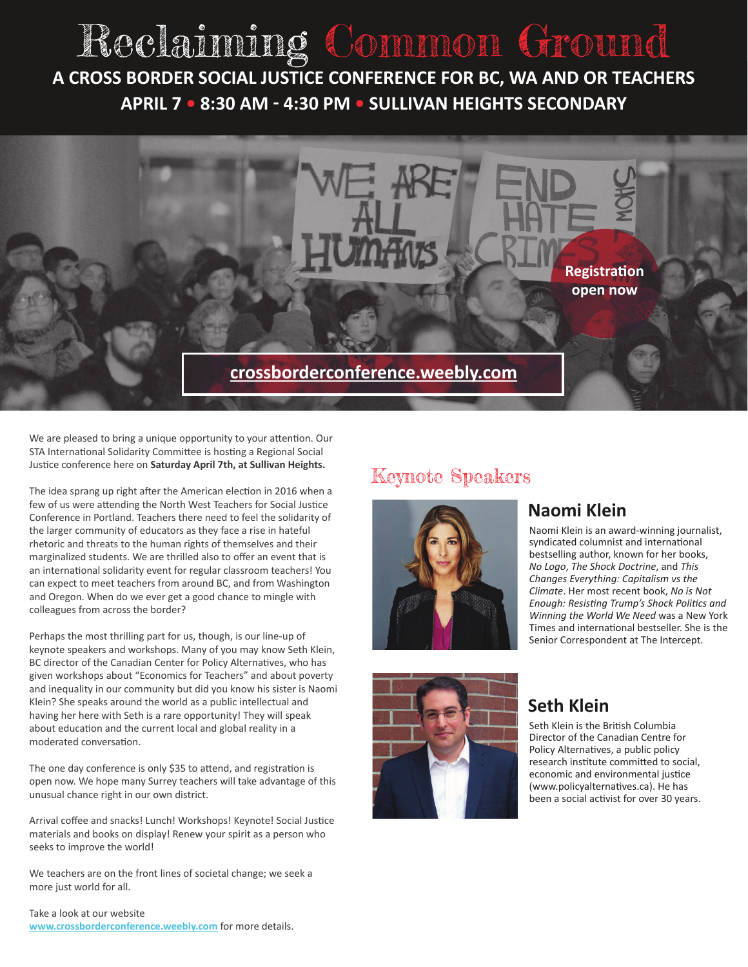# Reclaiming Common Ground  **A CROSS BORDER SOCIAL JUSTICE CONFERENCE FOR BC, WA AND OR TEACHERS APRIL 7 • 8:30 AM - 4:30 PM • SULLIVAN HEIGHTS SECONDARY**



We are pleased to bring a unique opportunity to your attention. Our STA International Solidarity Committee is hosting a Regional Social Justice conference here on Saturday April 7th, at Sullivan Heights.

The idea sprang up right after the American election in 2016 when a few of us were attending the North West Teachers for Social Justice Conference in Portland. Teachers there need to feel the solidarity of the larger community of educators as they face a rise in hateful rhetoric and threats to the human rights of themselves and their marginalized students. We are thrilled also to offer an event that is an international solidarity event for regular classroom teachers! You can expect to meet teachers from around BC, and from Washington and Oregon. When do we ever get a good chance to mingle with colleagues from across the border?

Perhaps the most thrilling part for us, though, is our line-up of keynote speakers and workshops. Many of you may know Seth Klein, BC director of the Canadian Center for Policy Alternatives, who has given workshops about "Economics for Teachers" and about poverty and inequality in our community but did you know his sister is Naomi Klein? She speaks around the world as a public intellectual and having her here with Seth is a rare opportunity! They will speak about education and the current local and global reality in a moderated conversation.

The one day conference is only \$35 to attend, and registration is open now. We hope many Surrey teachers will take advantage of this unusual chance right in our own district.

Arrival coffee and snacks! Lunch! Workshops! Keynote! Social Justice materials and books on display! Renew your spirit as a person who seeks to improve the world!

We teachers are on the front lines of societal change; we seek a more just world for all.

#### Take a look at our website **[www.crossborderconference.weebly.com](https://crossborderconference.weebly.com)** for more details.

# Keynote Speakers





## **Naomi Klein**

Naomi Klein is an award-winning journalist, syndicated columnist and international bestselling author, known for her books, *No Logo*, *The Shock Doctrine*, and *This Changes Everything: Capitalism vs the Climate*. Her most recent book, *No is Not Enough: Resisting Trump's Shock Politics and Winning the World We Need* was a New York Times and international bestseller. She is the Senior Correspondent at The Intercept.

## **Seth Klein**

Seth Klein is the British Columbia Director of the Canadian Centre for Policy Alternatives, a public policy research institute committed to social, economic and environmental justice (www.policyalternatives.ca). He has been a social activist for over 30 years.